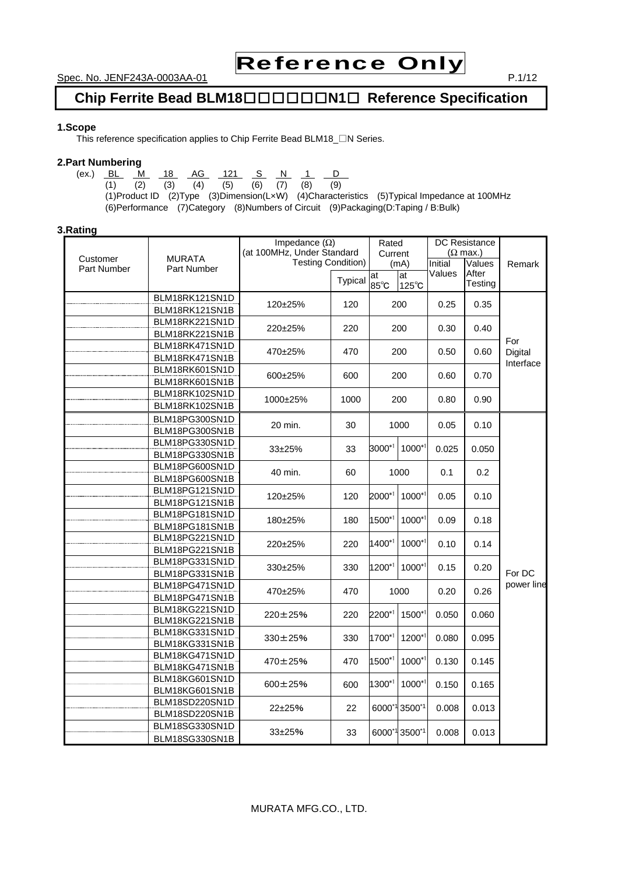# Reference Only

**Chip Ferrite Bead BLM18**□□□□□□**N1**□ **Reference Specification** 

#### **1.Scope**

This reference specification applies to Chip Ferrite Bead BLM18\_□N Series.

#### **2.Part Numbering**

(ex.) <u>BL M 18 AG 121 S N 1 D</u> (1) (2) (3) (4) (5) (6) (7) (8) (9) (1)Product ID (2)Type (3)Dimension(L×W) (4)Characteristics (5)Typical Impedance at 100MHz (6)Performance (7)Category (8)Numbers of Circuit (9)Packaging(D:Taping / B:Bulk)

#### **3.Rating**

|                         |                              | Impedance $(\Omega)$<br>(at 100MHz, Under Standard |                | Rated<br>Current |               | <b>DC</b> Resistance<br>$(\Omega \text{ max.})$ |         |            |
|-------------------------|------------------------------|----------------------------------------------------|----------------|------------------|---------------|-------------------------------------------------|---------|------------|
| Customer<br>Part Number | <b>MURATA</b><br>Part Number | <b>Testing Condition)</b>                          |                |                  | (mA)          | Initial                                         | Values  | Remark     |
|                         |                              |                                                    | <b>Typical</b> | at               | at            | Values                                          | After   |            |
|                         |                              |                                                    |                | 85°C             | 125°C         |                                                 | Testing |            |
|                         | BLM18RK121SN1D               | 120±25%                                            | 120            | 200              |               | 0.25                                            | 0.35    |            |
|                         | BLM18RK121SN1B               |                                                    |                |                  |               |                                                 |         |            |
|                         | BLM18RK221SN1D               | 220±25%                                            | 220            |                  | 200           | 0.30                                            | 0.40    |            |
|                         | BLM18RK221SN1B               |                                                    |                |                  |               |                                                 |         | For        |
|                         | BLM18RK471SN1D               | 470±25%                                            | 470            |                  | 200           | 0.50                                            | 0.60    | Digital    |
|                         | BLM18RK471SN1B               |                                                    |                |                  |               |                                                 |         | Interface  |
|                         | BLM18RK601SN1D               | 600±25%<br>600                                     |                |                  | 200           | 0.60                                            | 0.70    |            |
|                         | BLM18RK601SN1B               |                                                    |                |                  |               |                                                 |         |            |
|                         | BLM18RK102SN1D               | 1000±25%                                           | 1000           |                  | 200           | 0.80                                            | 0.90    |            |
|                         | BLM18RK102SN1B               |                                                    |                |                  |               |                                                 |         |            |
|                         | BLM18PG300SN1D               | 20 min.                                            | 30             | 1000             |               | 0.05                                            | 0.10    |            |
|                         | BLM18PG300SN1B               |                                                    |                |                  |               |                                                 |         |            |
|                         | BLM18PG330SN1D               | $33+25%$                                           | 33             | $3000^{*1}$      | $1000^{*1}$   | 0.025                                           | 0.050   |            |
|                         | BLM18PG330SN1B               |                                                    |                |                  |               |                                                 |         |            |
|                         | BLM18PG600SN1D               | 40 min.                                            | 60             |                  | 1000          | 0.1                                             | 0.2     |            |
|                         | BLM18PG600SN1B               |                                                    |                |                  |               |                                                 |         |            |
|                         | BLM18PG121SN1D               | 120±25%                                            | 120            | $2000^{*1}$      | $1000*1$      | 0.05                                            | 0.10    |            |
|                         | BLM18PG121SN1B               |                                                    |                |                  |               |                                                 |         |            |
|                         | BLM18PG181SN1D               | 180±25%                                            | 180            | $1500^{*1}$      | $1000^{*1}$   | 0.09                                            | 0.18    |            |
|                         | BLM18PG181SN1B               |                                                    |                |                  |               |                                                 |         |            |
|                         | BLM18PG221SN1D               |                                                    | 220            | $1400^{*1}$      | $1000*1$      | 0.10                                            |         |            |
|                         | BLM18PG221SN1B               | 220±25%                                            |                |                  |               |                                                 | 0.14    |            |
|                         | BLM18PG331SN1D               |                                                    | 330            | 1200*1           | $1000*1$      |                                                 |         |            |
|                         | BLM18PG331SN1B               | 330±25%                                            |                |                  |               | 0.15                                            | 0.20    | For DC     |
|                         | BLM18PG471SN1D               |                                                    | 470            |                  |               | 0.20                                            | 0.26    | power line |
|                         | BLM18PG471SN1B               | 470±25%                                            |                | 1000             |               |                                                 |         |            |
|                         | BLM18KG221SN1D               |                                                    | 220            | 2200*1           | 1500*1        |                                                 | 0.060   |            |
|                         | BLM18KG221SN1B               | 220±25%                                            |                |                  |               | 0.050                                           |         |            |
|                         | BLM18KG331SN1D               | 330±25%                                            | 330            | 1700*1           | 1200*1        | 0.080                                           | 0.095   |            |
|                         | BLM18KG331SN1B               |                                                    |                |                  |               |                                                 |         |            |
|                         | BLM18KG471SN1D               | 470±25%                                            | 470            | 1500*1           | 1000*1        | 0.130                                           | 0.145   |            |
|                         | BLM18KG471SN1B               |                                                    |                |                  |               |                                                 |         |            |
|                         | BLM18KG601SN1D               | 600±25%                                            | 600            | $1300*1$         | $1000*1$      | 0.150                                           | 0.165   |            |
|                         | BLM18KG601SN1B               |                                                    |                |                  |               |                                                 |         |            |
|                         | BLM18SD220SN1D               | 22±25%                                             | 22             |                  | 6000*1 3500*1 | 0.008                                           | 0.013   |            |
|                         | BLM18SD220SN1B               |                                                    |                |                  |               |                                                 |         |            |
|                         | BLM18SG330SN1D               | 33±25%                                             | 33             |                  | 6000*1 3500*1 | 0.008                                           | 0.013   |            |
|                         | BLM18SG330SN1B               |                                                    |                |                  |               |                                                 |         |            |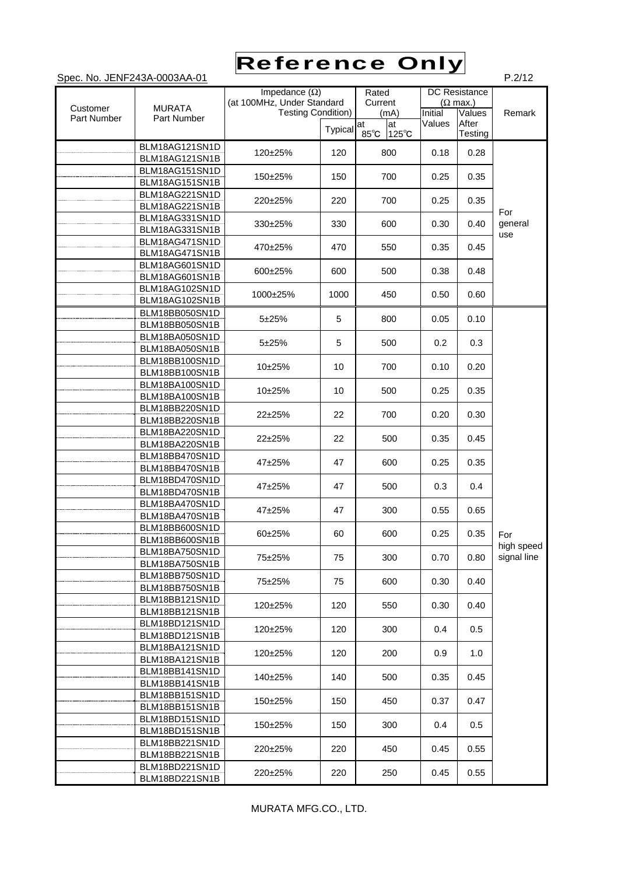### Spec. No. JENF243A-0003AA-01 P.2/12 Reference Only

|             |                                  | Impedance $(\Omega)$<br>(at 100MHz, Under Standard |         |                | Rated                                        |        | <b>DC</b> Resistance |             |
|-------------|----------------------------------|----------------------------------------------------|---------|----------------|----------------------------------------------|--------|----------------------|-------------|
| Customer    | <b>MURATA</b>                    | <b>Testing Condition)</b>                          | Current |                | $(\Omega$ max.)<br>Initial<br>Values<br>(mA) |        |                      | Remark      |
| Part Number | Part Number                      |                                                    | Typical | at             | at                                           | Values | After                |             |
|             | BLM18AG121SN1D                   |                                                    |         | $85^{\circ}$ C | $125^{\circ}$ C                              |        | Testing              |             |
|             | BLM18AG121SN1B                   | 120±25%                                            | 120     | 800            |                                              | 0.18   | 0.28                 |             |
|             | BLM18AG151SN1D                   | 150±25%                                            | 150     | 700            |                                              | 0.25   | 0.35                 |             |
|             | BLM18AG151SN1B                   |                                                    |         |                |                                              |        |                      |             |
|             | BLM18AG221SN1D                   | 220±25%                                            | 220     | 700            |                                              | 0.25   | 0.35                 |             |
|             | BLM18AG221SN1B                   |                                                    |         |                |                                              |        |                      | For         |
|             | BLM18AG331SN1D<br>BLM18AG331SN1B | 330±25%                                            | 330     | 600            |                                              | 0.30   | 0.40                 | general     |
|             | BLM18AG471SN1D                   |                                                    |         |                |                                              |        |                      | use         |
|             | BLM18AG471SN1B                   | 470±25%                                            | 470     | 550            |                                              | 0.35   | 0.45                 |             |
|             | BLM18AG601SN1D                   |                                                    |         |                |                                              |        |                      |             |
|             | BLM18AG601SN1B                   | 600±25%                                            | 600     | 500            |                                              | 0.38   | 0.48                 |             |
|             | BLM18AG102SN1D                   | 1000±25%                                           | 1000    | 450            |                                              | 0.50   | 0.60                 |             |
|             | BLM18AG102SN1B                   |                                                    |         |                |                                              |        |                      |             |
|             | BLM18BB050SN1D                   | $5 + 25%$                                          | 5       | 800            |                                              | 0.05   | 0.10                 |             |
|             | BLM18BB050SN1B                   |                                                    |         |                |                                              |        |                      |             |
|             | BLM18BA050SN1D                   | $5 + 25%$                                          | 5       | 500            |                                              | 0.2    | 0.3                  |             |
|             | BLM18BA050SN1B<br>BLM18BB100SN1D |                                                    |         |                |                                              |        |                      |             |
|             | BLM18BB100SN1B                   | $10+25%$                                           | 10      | 700            |                                              | 0.10   | 0.20                 |             |
|             | BLM18BA100SN1D                   |                                                    |         |                |                                              |        |                      |             |
|             | BLM18BA100SN1B                   | 10±25%                                             | 10      | 500            |                                              | 0.25   | 0.35                 |             |
|             | BLM18BB220SN1D                   |                                                    | 700     |                |                                              |        |                      |             |
|             | BLM18BB220SN1B                   | 22±25%                                             | 22      |                |                                              | 0.20   | 0.30                 |             |
|             | BLM18BA220SN1D                   | $22+25%$                                           | 22      |                |                                              | 0.35   | 0.45                 |             |
|             | BLM18BA220SN1B                   |                                                    |         | 500            |                                              |        |                      |             |
|             | BLM18BB470SN1D                   | 47±25%                                             | 47      | 600            |                                              | 0.25   | 0.35                 |             |
|             | BLM18BB470SN1B                   |                                                    |         |                |                                              |        |                      |             |
|             | BLM18BD470SN1D                   | 47±25%                                             | 47      | 500            |                                              | 0.3    | 0.4                  |             |
|             | BLM18BD470SN1B<br>BLM18BA470SN1D |                                                    |         |                |                                              |        |                      |             |
|             | BLM18BA470SN1B                   | $47+25%$                                           | 47      | 300            |                                              | 0.55   | 0.65                 |             |
|             | BLM18BB600SN1D                   |                                                    |         |                |                                              |        |                      |             |
|             | BLM18BB600SN1B                   | 60±25%                                             | 60      |                | 600                                          | 0.25   | 0.35                 | For         |
|             | BLM18BA750SN1D                   |                                                    |         |                |                                              |        |                      | high speed  |
|             | BLM18BA750SN1B                   | 75±25%                                             | 75      |                | 300                                          | 0.70   | 0.80                 | signal line |
|             | BLM18BB750SN1D                   | 75±25%                                             | 75      |                | 600                                          | 0.30   | 0.40                 |             |
|             | BLM18BB750SN1B                   |                                                    |         |                |                                              |        |                      |             |
|             | BLM18BB121SN1D                   | 120±25%                                            | 120     | 550            |                                              | 0.30   | 0.40                 |             |
|             | BLM18BB121SN1B                   |                                                    |         |                |                                              |        |                      |             |
|             | BLM18BD121SN1D<br>BLM18BD121SN1B | 120±25%                                            | 120     | 300            |                                              | 0.4    | 0.5                  |             |
|             | BLM18BA121SN1D                   |                                                    |         |                |                                              |        |                      |             |
|             | BLM18BA121SN1B                   | $120\pm25\%$                                       | 120     |                | 200                                          | 0.9    | 1.0                  |             |
|             | BLM18BB141SN1D                   |                                                    |         |                |                                              |        |                      |             |
|             | BLM18BB141SN1B                   | 140±25%                                            | 140     | 500            |                                              | 0.35   | 0.45                 |             |
|             | BLM18BB151SN1D                   | 150±25%                                            | 150     | 450            |                                              | 0.37   | 0.47                 |             |
|             | BLM18BB151SN1B                   |                                                    |         |                |                                              |        |                      |             |
|             | BLM18BD151SN1D                   | 150±25%                                            | 150     | 300            |                                              | 0.4    | 0.5                  |             |
|             | BLM18BD151SN1B                   |                                                    |         |                |                                              |        |                      |             |
|             | BLM18BB221SN1D                   | 220±25%                                            | 220     |                | 450                                          | 0.45   | 0.55                 |             |
|             | BLM18BB221SN1B                   |                                                    |         |                |                                              |        |                      |             |
|             | BLM18BD221SN1D<br>BLM18BD221SN1B | 220±25%                                            | 220     |                | 250                                          | 0.45   | 0.55                 |             |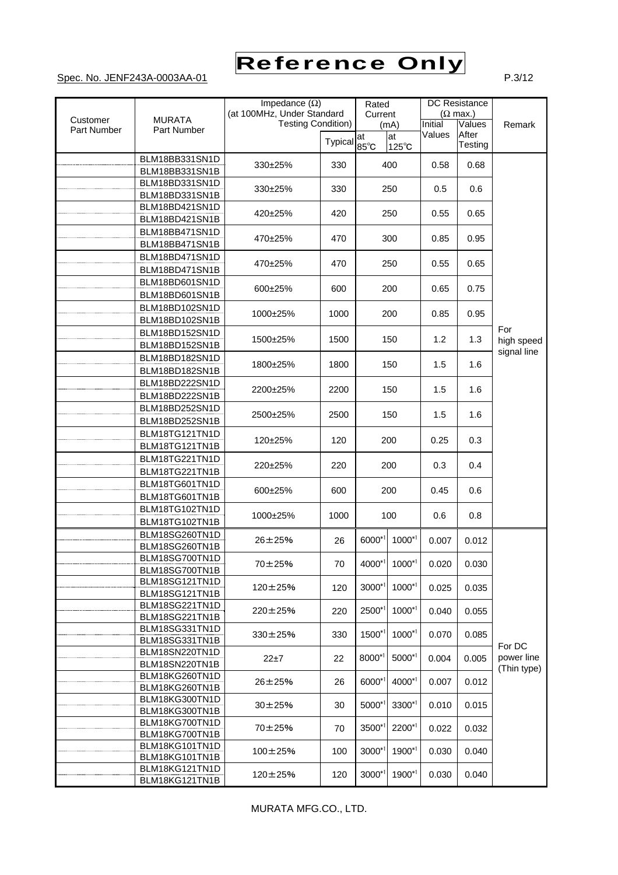

|             |                                  | Impedance $(\Omega)$       |                | Rated                     |                 |                           | <b>DC</b> Resistance |             |                 |  |
|-------------|----------------------------------|----------------------------|----------------|---------------------------|-----------------|---------------------------|----------------------|-------------|-----------------|--|
|             |                                  | (at 100MHz, Under Standard |                | Current                   |                 |                           |                      |             | $(\Omega$ max.) |  |
| Customer    | <b>MURATA</b>                    |                            |                | <b>Testing Condition)</b> |                 | Initial<br>Values<br>(mA) |                      |             | Remark          |  |
| Part Number | Part Number                      |                            |                | at                        | at              | Values                    | After                |             |                 |  |
|             |                                  |                            | <b>Typical</b> | $85^{\circ}$ C            | $125^{\circ}$ C |                           | Testing              |             |                 |  |
|             | BLM18BB331SN1D                   | 330±25%                    | 330            |                           | 400             | 0.58                      | 0.68                 |             |                 |  |
|             | BLM18BB331SN1B                   |                            |                |                           |                 |                           |                      |             |                 |  |
|             | BLM18BD331SN1D                   | 330±25%                    | 330            |                           | 250             | 0.5                       | 0.6                  |             |                 |  |
|             | BLM18BD331SN1B                   |                            |                |                           |                 |                           |                      |             |                 |  |
|             | BLM18BD421SN1D                   | 420±25%                    | 420            |                           | 250             | 0.55                      | 0.65                 |             |                 |  |
|             | BLM18BD421SN1B                   |                            |                |                           |                 |                           |                      |             |                 |  |
|             | BLM18BB471SN1D                   | 470±25%                    | 470            |                           | 300             | 0.85                      | 0.95                 |             |                 |  |
|             | BLM18BB471SN1B                   |                            |                |                           |                 |                           |                      |             |                 |  |
|             | BLM18BD471SN1D                   | 470±25%                    | 470            |                           | 250             | 0.55                      | 0.65                 |             |                 |  |
|             | BLM18BD471SN1B                   |                            |                |                           |                 |                           |                      |             |                 |  |
|             | BLM18BD601SN1D                   | 600±25%                    | 600            |                           | 200             | 0.65                      | 0.75                 |             |                 |  |
|             | BLM18BD601SN1B                   |                            |                |                           |                 |                           |                      |             |                 |  |
|             | BLM18BD102SN1D                   | 1000±25%                   | 1000           |                           | 200             | 0.85                      | 0.95                 |             |                 |  |
|             | BLM18BD102SN1B                   |                            |                |                           |                 |                           |                      |             |                 |  |
|             | BLM18BD152SN1D                   | 1500±25%                   | 1500           |                           | 150             | 1.2                       | 1.3                  | For         |                 |  |
|             | BLM18BD152SN1B                   |                            |                |                           |                 |                           |                      | high speed  |                 |  |
|             | BLM18BD182SN1D                   |                            | 1800           |                           |                 | 1.5                       | 1.6                  | signal line |                 |  |
|             | BLM18BD182SN1B                   | 1800±25%                   |                | 150                       |                 |                           |                      |             |                 |  |
|             | BLM18BD222SN1D                   |                            |                |                           |                 |                           |                      |             |                 |  |
|             | BLM18BD222SN1B                   | 2200±25%                   | 2200           | 150                       |                 | 1.5                       | 1.6                  |             |                 |  |
|             | BLM18BD252SN1D                   |                            |                |                           |                 |                           |                      |             |                 |  |
|             | BLM18BD252SN1B                   | 2500±25%                   | 2500           |                           | 150             | 1.5                       | 1.6                  |             |                 |  |
|             | BLM18TG121TN1D                   |                            |                |                           |                 |                           |                      |             |                 |  |
|             | BLM18TG121TN1B                   | 120±25%                    | 120            |                           | 200             | 0.25                      | 0.3                  |             |                 |  |
|             | BLM18TG221TN1D                   |                            |                |                           |                 | 0.3                       |                      |             |                 |  |
|             | BLM18TG221TN1B                   | 220±25%                    | 220            |                           | 200             |                           | 0.4                  |             |                 |  |
|             | BLM18TG601TN1D                   |                            |                |                           |                 |                           |                      |             |                 |  |
|             | BLM18TG601TN1B                   | 600±25%                    | 600            | 200                       |                 | 0.45                      | 0.6                  |             |                 |  |
|             | BLM18TG102TN1D                   |                            |                |                           |                 |                           |                      |             |                 |  |
|             | BLM18TG102TN1B                   | 1000±25%                   | 1000           |                           |                 | 100                       |                      | 0.6         | 0.8             |  |
|             | BLM18SG260TN1D                   |                            |                |                           |                 |                           |                      |             |                 |  |
|             | BLM18SG260TN1B                   | 26±25%                     | 26             | 6000*1                    | $1000*1$        | 0.007                     | 0.012                |             |                 |  |
|             | BLM18SG700TN1D                   |                            |                |                           | $1000^{*1}$     |                           |                      |             |                 |  |
|             | BLM18SG700TN1B                   | 70±25%                     | 70             | $4000^{\circ}$            |                 | 0.020                     | 0.030                |             |                 |  |
|             | BLM18SG121TN1D                   | 120±25%                    | 120            | $3000*1$                  | $1000^{*1}$     | 0.025                     | 0.035                |             |                 |  |
|             | BLM18SG121TN1B                   |                            |                |                           |                 |                           |                      |             |                 |  |
|             | BLM18SG221TN1D                   | 220±25%                    | 220            | 2500*1                    | $1000^{*1}$     | 0.040                     | 0.055                |             |                 |  |
|             | BLM18SG221TN1B                   |                            |                |                           |                 |                           |                      |             |                 |  |
|             | BLM18SG331TN1D                   | 330±25%                    | 330            | 1500*1                    | $1000^{*1}$     | 0.070                     | 0.085                |             |                 |  |
|             | BLM18SG331TN1B<br>BLM18SN220TN1D |                            |                |                           |                 |                           |                      | For DC      |                 |  |
|             | BLM18SN220TN1B                   | $22 + 7$                   | 22             | 8000*1                    | $5000*1$        | 0.004                     | 0.005                | power line  |                 |  |
|             |                                  |                            |                |                           |                 |                           |                      | (Thin type) |                 |  |
|             | BLM18KG260TN1D<br>BLM18KG260TN1B | 26±25%                     | 26             | 6000*1                    | 4000*1          | 0.007                     | 0.012                |             |                 |  |
|             | BLM18KG300TN1D                   |                            |                |                           |                 |                           |                      |             |                 |  |
|             | BLM18KG300TN1B                   | $30 + 25%$                 | 30             | 5000*1                    | 3300*1          | 0.010                     | 0.015                |             |                 |  |
|             | BLM18KG700TN1D                   |                            |                |                           |                 |                           |                      |             |                 |  |
|             | BLM18KG700TN1B                   | 70±25%                     | 70             | $3500*1$                  | 2200*1          | 0.022                     | 0.032                |             |                 |  |
|             | BLM18KG101TN1D                   | $100\pm25%$                | 100            | 3000*1                    | $1900^{*1}$     |                           | 0.040                |             |                 |  |
|             | BLM18KG101TN1B                   |                            |                |                           |                 | 0.030                     |                      |             |                 |  |
|             | BLM18KG121TN1D                   | $120 \pm 25%$              | 120            | $3000*1$                  | 1900*1          | 0.030                     | 0.040                |             |                 |  |
|             | BLM18KG121TN1B                   |                            |                |                           |                 |                           |                      |             |                 |  |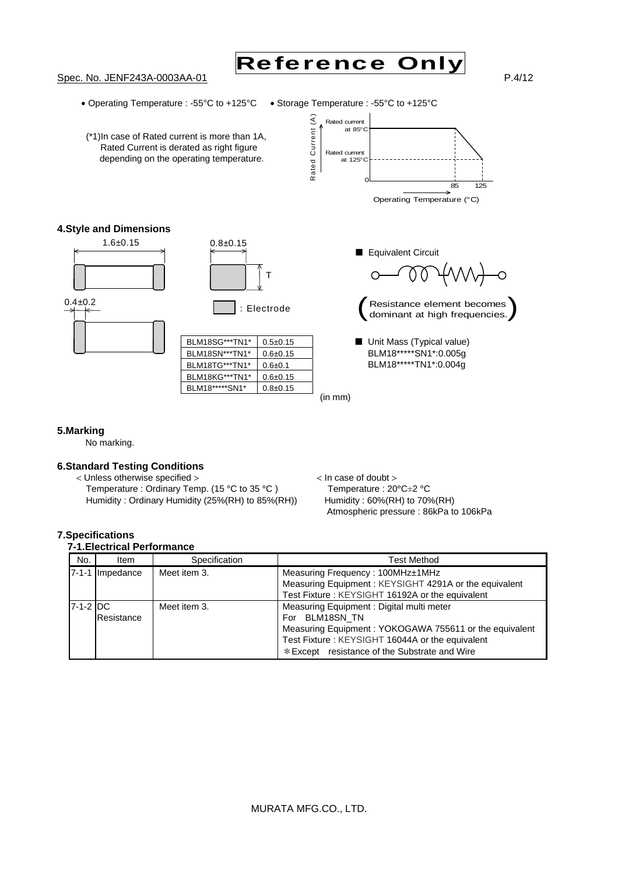



• Operating Temperature : -55°C to +125°C • Storage Temperature : -55°C to +125°C



#### **5.Marking**

No marking.

#### **6.Standard Testing Conditions**

< Unless otherwise specified > < In case of doubt > Temperature : Ordinary Temp. (15 °C to 35 °C ) Temperature : 20°C $\pm$ 2 °C<br>Humidity : Ordinary Humidity (25% (RH) to 85% (RH)) Humidity : 60% (RH) to 70% (RH) Humidity : Ordinary Humidity (25%(RH) to 85%(RH))

Atmospheric pressure : 86kPa to 106kPa

#### **7.Specifications**  *A. Electrical Perfer*

|             | 7-1.Electrical Feriormance |               |                                                                                                                                                                                                                          |  |  |  |
|-------------|----------------------------|---------------|--------------------------------------------------------------------------------------------------------------------------------------------------------------------------------------------------------------------------|--|--|--|
| No.         | Item                       | Specification | <b>Test Method</b>                                                                                                                                                                                                       |  |  |  |
| $7 - 1 - 1$ | Impedance                  | Meet item 3.  | Measuring Frequency: 100MHz±1MHz<br>Measuring Equipment: KEYSIGHT 4291A or the equivalent<br>Test Fixture: KEYSIGHT 16192A or the equivalent                                                                             |  |  |  |
| 7-1-2 DC    | Resistance                 | Meet item 3.  | Measuring Equipment: Digital multi meter<br>For BLM18SN TN<br>Measuring Equipment: YOKOGAWA 755611 or the equivalent<br>Test Fixture: KEYSIGHT 16044A or the equivalent<br>* Except resistance of the Substrate and Wire |  |  |  |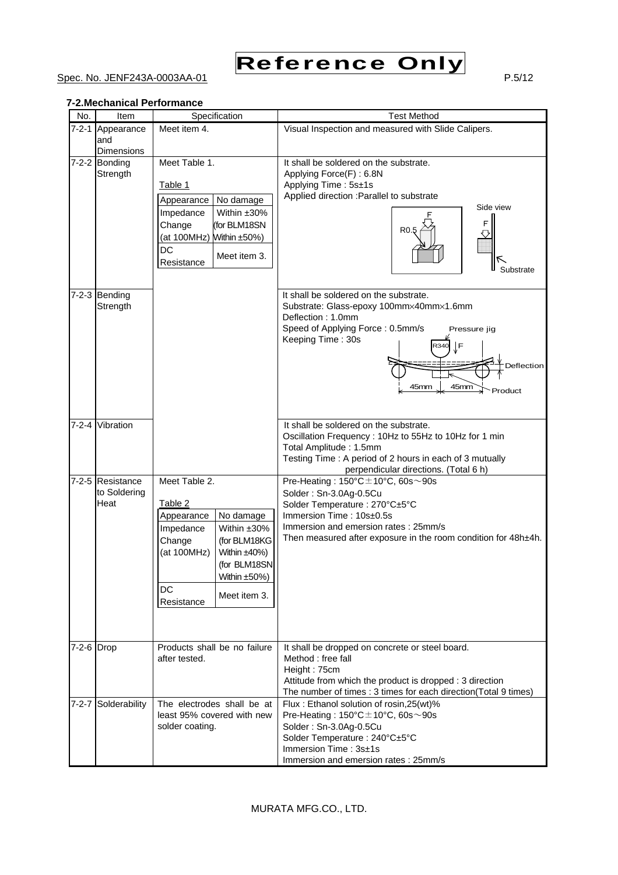

### Spec. No. JENF243A-0003AA-01 P.5/12

#### **7-2.Mechanical Performance**

| No.         | Item                | Specification                      | <b>Test Method</b>                                                                               |
|-------------|---------------------|------------------------------------|--------------------------------------------------------------------------------------------------|
| $7 - 2 - 1$ | Appearance          | Meet item $\overline{4}$ .         | Visual Inspection and measured with Slide Calipers.                                              |
|             | and                 |                                    |                                                                                                  |
|             | <b>Dimensions</b>   |                                    |                                                                                                  |
|             | 7-2-2 Bonding       | Meet Table 1.                      | It shall be soldered on the substrate.                                                           |
|             | Strength            |                                    | Applying Force(F): 6.8N<br>Applying Time: 5s±1s                                                  |
|             |                     | Table 1                            | Applied direction : Parallel to substrate                                                        |
|             |                     | No damage<br>Appearance            | Side view                                                                                        |
|             |                     | Within ±30%<br>Impedance           |                                                                                                  |
|             |                     | Change<br>(for BLM18SN             | F<br>R <sub>0</sub>                                                                              |
|             |                     | (at 100MHz)<br>Within $\pm 50\%$ ) |                                                                                                  |
|             |                     | DC<br>Meet item 3.                 |                                                                                                  |
|             |                     | Resistance                         | Substrate                                                                                        |
|             |                     |                                    |                                                                                                  |
|             | 7-2-3 Bending       |                                    | It shall be soldered on the substrate.                                                           |
|             | Strength            |                                    | Substrate: Glass-epoxy 100mm×40mm×1.6mm                                                          |
|             |                     |                                    | Deflection: 1.0mm                                                                                |
|             |                     |                                    | Speed of Applying Force: 0.5mm/s<br>Pressure jig<br>Keeping Time: 30s                            |
|             |                     |                                    | F<br>R340                                                                                        |
|             |                     |                                    | Deflection                                                                                       |
|             |                     |                                    |                                                                                                  |
|             |                     |                                    | 45mm<br>45mm<br>Product                                                                          |
|             |                     |                                    |                                                                                                  |
|             |                     |                                    |                                                                                                  |
|             | 7-2-4 Vibration     |                                    | It shall be soldered on the substrate.                                                           |
|             |                     |                                    | Oscillation Frequency: 10Hz to 55Hz to 10Hz for 1 min                                            |
|             |                     |                                    | Total Amplitude: 1.5mm                                                                           |
|             |                     |                                    | Testing Time: A period of 2 hours in each of 3 mutually<br>perpendicular directions. (Total 6 h) |
|             | 7-2-5 Resistance    | Meet Table 2.                      | Pre-Heating: $150^{\circ}$ C $\pm$ 10°C, 60s $\sim$ 90s                                          |
|             | to Soldering        |                                    | Solder: Sn-3.0Ag-0.5Cu                                                                           |
|             | Heat                | Table 2                            | Solder Temperature: 270°C±5°C                                                                    |
|             |                     | No damage<br>Appearance            | Immersion Time: 10s±0.5s                                                                         |
|             |                     | Impedance<br>Within ±30%           | Immersion and emersion rates: 25mm/s                                                             |
|             |                     | Change<br>(for BLM18KG             | Then measured after exposure in the room condition for 48h±4h.                                   |
|             |                     | (at 100MHz)<br>Within $±40%$ )     |                                                                                                  |
|             |                     | (for BLM18SN                       |                                                                                                  |
|             |                     | Within $\pm 50\%$ )<br>DC          |                                                                                                  |
|             |                     | Meet item 3.<br>Resistance         |                                                                                                  |
|             |                     |                                    |                                                                                                  |
|             |                     |                                    |                                                                                                  |
|             |                     |                                    |                                                                                                  |
| 7-2-6 Drop  |                     | Products shall be no failure       | It shall be dropped on concrete or steel board.                                                  |
|             |                     | after tested.                      | Method : free fall                                                                               |
|             |                     |                                    | Height: 75cm<br>Attitude from which the product is dropped : 3 direction                         |
|             |                     |                                    | The number of times : 3 times for each direction(Total 9 times)                                  |
|             | 7-2-7 Solderability | The electrodes shall be at         | Flux: Ethanol solution of rosin, 25(wt)%                                                         |
|             |                     | least 95% covered with new         | Pre-Heating: $150^{\circ}$ C $\pm$ 10°C, 60s $\sim$ 90s                                          |
|             |                     | solder coating.                    | Solder: Sn-3.0Ag-0.5Cu                                                                           |
|             |                     |                                    | Solder Temperature : 240°C±5°C                                                                   |
|             |                     |                                    | Immersion Time: 3s±1s                                                                            |
|             |                     |                                    | Immersion and emersion rates: 25mm/s                                                             |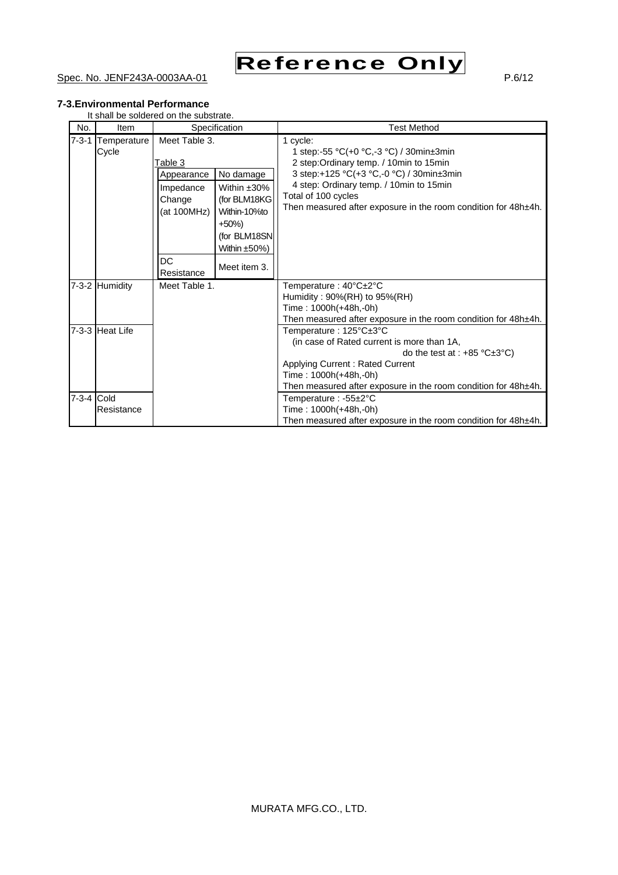

#### Spec. No. JENF243A-0003AA-01 P.6/12

#### **7-3.Environmental Performance**

It shall be soldered on the substrate.

| No.         | <b>Item</b>          | Specification                                                                                              |                                                                                                                    | <b>Test Method</b>                                                                                                                                                                                                                                                             |
|-------------|----------------------|------------------------------------------------------------------------------------------------------------|--------------------------------------------------------------------------------------------------------------------|--------------------------------------------------------------------------------------------------------------------------------------------------------------------------------------------------------------------------------------------------------------------------------|
| $7 - 3 - 1$ | Temperature<br>Cycle | Meet Table 3.<br>Table 3<br>Appearance<br>Impedance<br>Change<br>(at 100MHz)<br>$+50%$<br>DC<br>Resistance | No damage<br>Within $±30\%$<br>(for BLM18KG<br>Within-10%to<br>(for BLM18SN<br>Within $\pm 50\%$ )<br>Meet item 3. | 1 cycle:<br>1 step:-55 °C(+0 °C,-3 °C) / 30min±3min<br>2 step: Ordinary temp. / 10min to 15min<br>3 step:+125 °C(+3 °C,-0 °C) / 30min±3min<br>4 step: Ordinary temp. / 10min to 15min<br>Total of 100 cycles<br>Then measured after exposure in the room condition for 48h±4h. |
|             | 7-3-2 Humidity       | Meet Table 1.                                                                                              |                                                                                                                    | Temperature: 40°C±2°C<br>Humidity: 90%(RH) to 95%(RH)<br>Time: 1000h(+48h,-0h)<br>Then measured after exposure in the room condition for 48h±4h.                                                                                                                               |
|             | 7-3-3 Heat Life      |                                                                                                            |                                                                                                                    | Temperature: 125°C±3°C<br>(in case of Rated current is more than 1A,<br>do the test at : $+85 \degree C \pm 3 \degree C$ )<br>Applying Current: Rated Current<br>Time: 1000h(+48h,-0h)<br>Then measured after exposure in the room condition for 48h±4h.                       |
| 7-3-4 Cold  | Resistance           |                                                                                                            |                                                                                                                    | Temperature: -55±2°C<br>Time: 1000h(+48h,-0h)<br>Then measured after exposure in the room condition for 48h±4h.                                                                                                                                                                |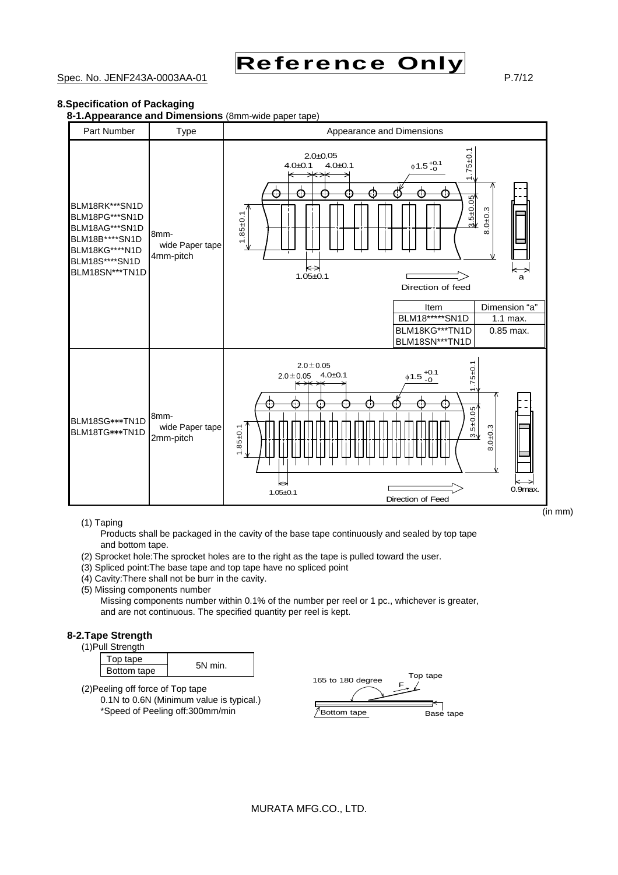

#### Spec. No. JENF243A-0003AA-01 P.7/12

(in mm)

#### **8.Specification of Packaging**

**8-1.Appearance and Dimensions** (8mm-wide paper tape)



(1) Taping

Products shall be packaged in the cavity of the base tape continuously and sealed by top tape and bottom tape.

- (2) Sprocket hole:The sprocket holes are to the right as the tape is pulled toward the user.
- (3) Spliced point:The base tape and top tape have no spliced point
- (4) Cavity:There shall not be burr in the cavity.
- (5) Missing components number

Missing components number within 0.1% of the number per reel or 1 pc., whichever is greater, and are not continuous. The specified quantity per reel is kept.

#### **8-2.Tape Strength**

(1)Pull Strength

| Top tape    |         |  |  |  |  |
|-------------|---------|--|--|--|--|
| Bottom tape | 5N min. |  |  |  |  |

(2)Peeling off force of Top tape 0.1N to 0.6N (Minimum value is typical.) \*Speed of Peeling off:300mm/min

| 165 to 180 degree | Top tape  |
|-------------------|-----------|
| Bottom tape       | Base tape |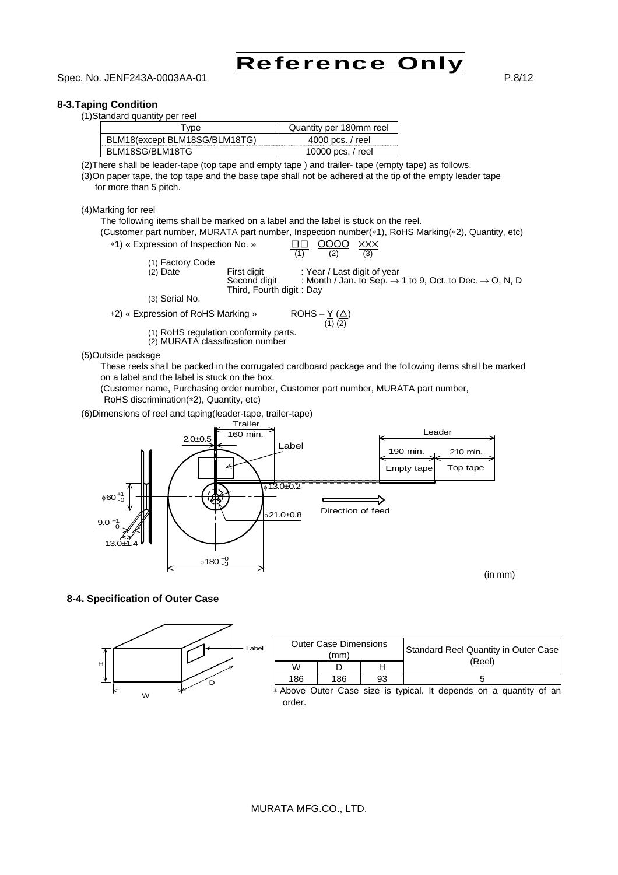

#### **8-3.Taping Condition**

(1)Standard quantity per reel

| Type                          | Quantity per 180mm reel |
|-------------------------------|-------------------------|
| BLM18(except BLM18SG/BLM18TG) | 4000 pcs. / reel        |
| BLM18SG/BLM18TG               | 10000 pcs. / reel       |

(2)There shall be leader-tape (top tape and empty tape ) and trailer- tape (empty tape) as follows.

(3)On paper tape, the top tape and the base tape shall not be adhered at the tip of the empty leader tape for more than 5 pitch.

(4)Marking for reel

The following items shall be marked on a label and the label is stuck on the reel. (Customer part number, MURATA part number, Inspection number(∗1), RoHS Marking(∗2), Quantity, etc) \*1) « Expression of Inspection No. »  $\underline{\Box} \ \underline{\Box} \ \underline{\Box} \ \underline{\Box} \ \underline{\Box} \ \underline{\Box} \ \underline{\Box} \ \underline{\Box} \ \underline{\Box} \ \underline{\Box} \ \underline{\Box} \ \underline{\Box} \ \underline{\Box}$ (1) Factory Code (2) Date First digit : Year / Last digit of year Second digit : Month / Jan. to Sep.  $\rightarrow$  1 to 9, Oct. to Dec.  $\rightarrow$  O, N, D Third, Fourth digit : Day

(3) Serial No.

∗2) « Expression of RoHS Marking »  $ROHS - \underline{Y} (\underline{\triangle})$ <br>(1) (2)

(1) RoHS regulation conformity parts.

(2) MURATA classification number

(5)Outside package

These reels shall be packed in the corrugated cardboard package and the following items shall be marked on a label and the label is stuck on the box.

(Customer name, Purchasing order number, Customer part number, MURATA part number, RoHS discrimination(∗2), Quantity, etc)

(6)Dimensions of reel and taping(leader-tape, trailer-tape)



(in mm)

**8-4. Specification of Outer Case** 

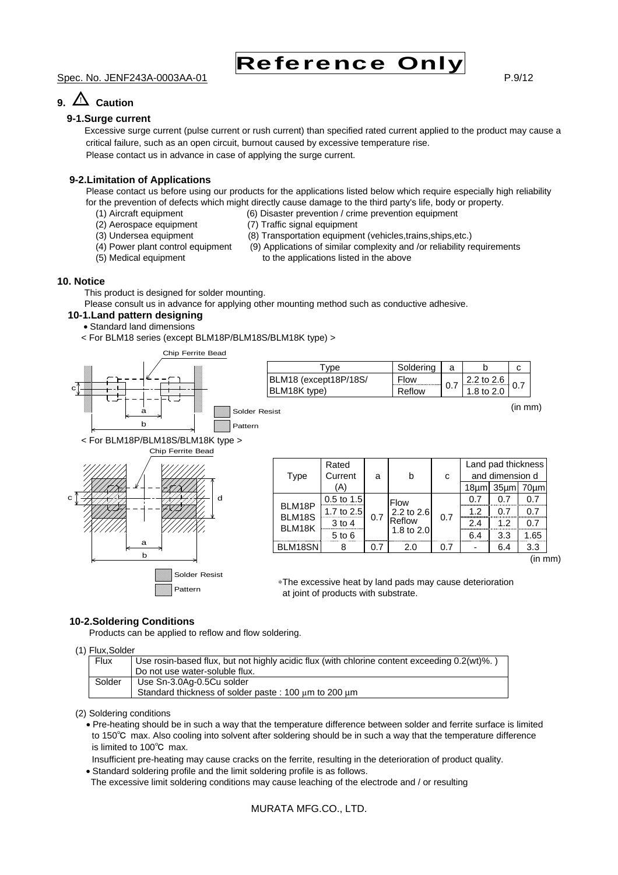Spec. No. JENF243A-0003AA-01 P.9/12

## **9.** △! **Caution**

#### **9-1.Surge current**

Excessive surge current (pulse current or rush current) than specified rated current applied to the product may cause a critical failure, such as an open circuit, burnout caused by excessive temperature rise.

Reference Only

Please contact us in advance in case of applying the surge current.

#### **9-2.Limitation of Applications**

Please contact us before using our products for the applications listed below which require especially high reliability for the prevention of defects which might directly cause damage to the third party's life, body or property.

- (1) Aircraft equipment (6) Disaster prevention / crime prevention equipment
- (2) Aerospace equipment (7) Traffic signal equipment
- 
- 
- (3) Undersea equipment (8) Transportation equipment (vehicles,trains,ships,etc.)
- (4) Power plant control equipment (9) Applications of similar complexity and /or reliability requirements
- 
- (5) Medical equipment to the applications listed in the above

#### **10. Notice**

This product is designed for solder mounting.

Please consult us in advance for applying other mounting method such as conductive adhesive.

#### **10-1.Land pattern designing**

- Standard land dimensions
- < For BLM18 series (except BLM18P/BLM18S/BLM18K type) >



| vpe                   | Soldering |     |              |  |
|-----------------------|-----------|-----|--------------|--|
| BLM18 (except18P/18S/ | Flow      |     | 2.2 to $2.6$ |  |
| BLM18K type)          | Reflow    | 0.1 | 1.8 to 2.0   |  |

(in mm)



| Type             | Rated<br>Current | a   | h            | C   |            | Land pad thickness<br>and dimension d |      |     |     |
|------------------|------------------|-----|--------------|-----|------------|---------------------------------------|------|-----|-----|
|                  | (A)              |     |              |     | 18um       | 35 <sub>µ</sub>                       | 70um |     |     |
|                  | $0.5$ to 1.5     |     | <b>Flow</b>  |     | 0.7        | 0 7                                   | 0.7  |     |     |
| BLM18P<br>BLM18S | 1.7 to $2.5$     | 0.7 |              |     | 2.2 to 2.6 | 0.7                                   | 1.2  | 0 7 | 0.7 |
| BLM18K           | $3$ to 4         |     |              |     |            | Reflow                                |      | 2.4 | 1.2 |
|                  | $5$ to $6$       |     | 1.8 to $2.0$ |     | 6.4        | 3.3                                   | 1.65 |     |     |
| BLM18SN          |                  | 0.7 | 2.0          | 0.7 |            | 6.4                                   | 3.3  |     |     |

(in mm)

∗The excessive heat by land pads may cause deterioration at joint of products with substrate.

#### **10-2.Soldering Conditions**

Products can be applied to reflow and flow soldering.

#### (1) Flux,Solder

| Flux   | Use rosin-based flux, but not highly acidic flux (with chlorine content exceeding 0.2(wt)%.)<br>Do not use water-soluble flux. |
|--------|--------------------------------------------------------------------------------------------------------------------------------|
| Solder | Use Sn-3.0Ag-0.5Cu solder<br>Standard thickness of solder paste: 100 um to 200 um                                              |

(2) Soldering conditions

• Pre-heating should be in such a way that the temperature difference between solder and ferrite surface is limited to 150℃ max. Also cooling into solvent after soldering should be in such a way that the temperature difference is limited to 100℃ max.

Insufficient pre-heating may cause cracks on the ferrite, resulting in the deterioration of product quality.

• Standard soldering profile and the limit soldering profile is as follows.

The excessive limit soldering conditions may cause leaching of the electrode and / or resulting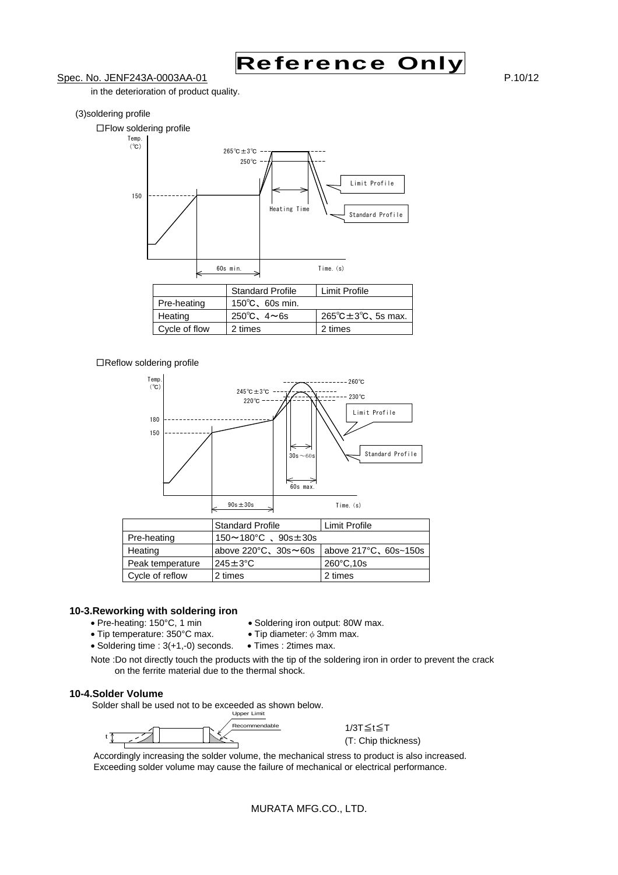

#### Spec. No. JENF243A-0003AA-01 P.10/12

in the deterioration of product quality.

#### (3)soldering profile



#### □Reflow soldering profile



|                  | <b>Standard Profile</b>                 | Limit Profile         |
|------------------|-----------------------------------------|-----------------------|
| Pre-heating      | $150 \sim 180^{\circ}$ C. $90s \pm 30s$ |                       |
| Heating          | above $220^{\circ}$ C, $30s \sim 60s$   | above 217°C, 60s~150s |
| Peak temperature | $245 \pm 3$ °C                          | 260°C, 10s            |
| Cycle of reflow  | 2 times                                 | 2 times               |

# **10-3. Reworking with soldering iron**<br>• Pre-heating: 150°C, 1 min

- 
- Soldering iron output: 80W max.<br>• Tip diameter:  $\phi$  3mm max.
- Tip temperature: 350°C max.
- Soldering time : 3(+1,-0) seconds. Times : 2times max.
- Note :Do not directly touch the products with the tip of the soldering iron in order to prevent the crack on the ferrite material due to the thermal shock.

#### **10-4.Solder Volume**

Solder shall be used not to be exceeded as shown below.



1/3T≦t≦T (T: Chip thickness)

Accordingly increasing the solder volume, the mechanical stress to product is also increased. Exceeding solder volume may cause the failure of mechanical or electrical performance.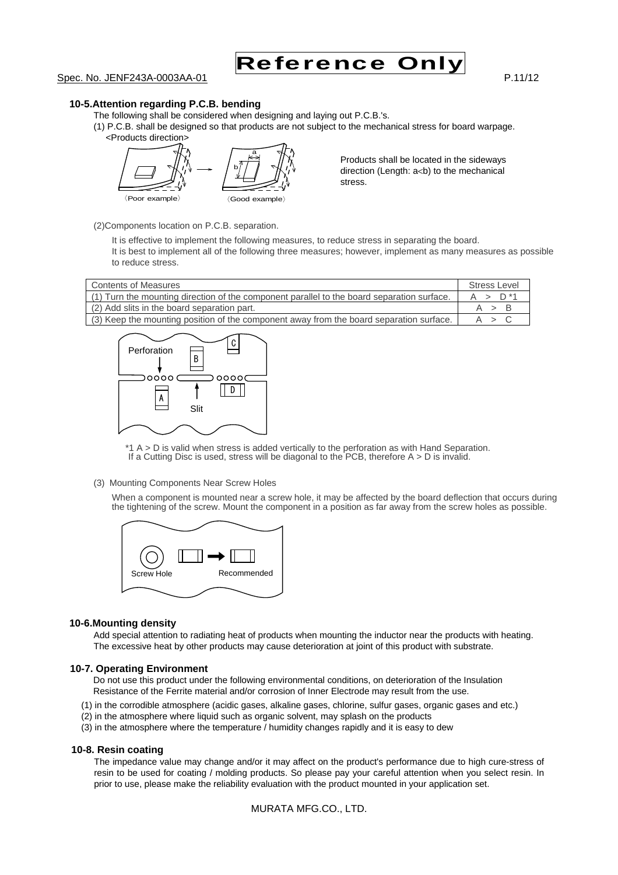

#### **10-5.Attention regarding P.C.B. bending**

The following shall be considered when designing and laying out P.C.B.'s.

(1) P.C.B. shall be designed so that products are not subject to the mechanical stress for board warpage. <Products direction>



Products shall be located in the sideways direction (Length: a<br />b) to the mechanical stress.

(2)Components location on P.C.B. separation.

It is effective to implement the following measures, to reduce stress in separating the board. It is best to implement all of the following three measures; however, implement as many measures as possible to reduce stress.

| <b>Contents of Measures</b>                                                                | <b>Stress Level</b> |
|--------------------------------------------------------------------------------------------|---------------------|
| (1) Turn the mounting direction of the component parallel to the board separation surface. | $A > D^*1$          |
| (2) Add slits in the board separation part.                                                | A > B               |
| (3) Keep the mounting position of the component away from the board separation surface.    | A > C               |



\*1 A > D is valid when stress is added vertically to the perforation as with Hand Separation. If a Cutting Disc is used, stress will be diagonal to the PCB, therefore A > D is invalid.

#### (3) Mounting Components Near Screw Holes

When a component is mounted near a screw hole, it may be affected by the board deflection that occurs during the tightening of the screw. Mount the component in a position as far away from the screw holes as possible.



#### **10-6.Mounting density**

Add special attention to radiating heat of products when mounting the inductor near the products with heating. The excessive heat by other products may cause deterioration at joint of this product with substrate.

#### **10-7. Operating Environment**

Do not use this product under the following environmental conditions, on deterioration of the Insulation Resistance of the Ferrite material and/or corrosion of Inner Electrode may result from the use.

- (1) in the corrodible atmosphere (acidic gases, alkaline gases, chlorine, sulfur gases, organic gases and etc.)
- (2) in the atmosphere where liquid such as organic solvent, may splash on the products
- (3) in the atmosphere where the temperature / humidity changes rapidly and it is easy to dew

#### **10-8. Resin coating**

The impedance value may change and/or it may affect on the product's performance due to high cure-stress of resin to be used for coating / molding products. So please pay your careful attention when you select resin. In prior to use, please make the reliability evaluation with the product mounted in your application set.